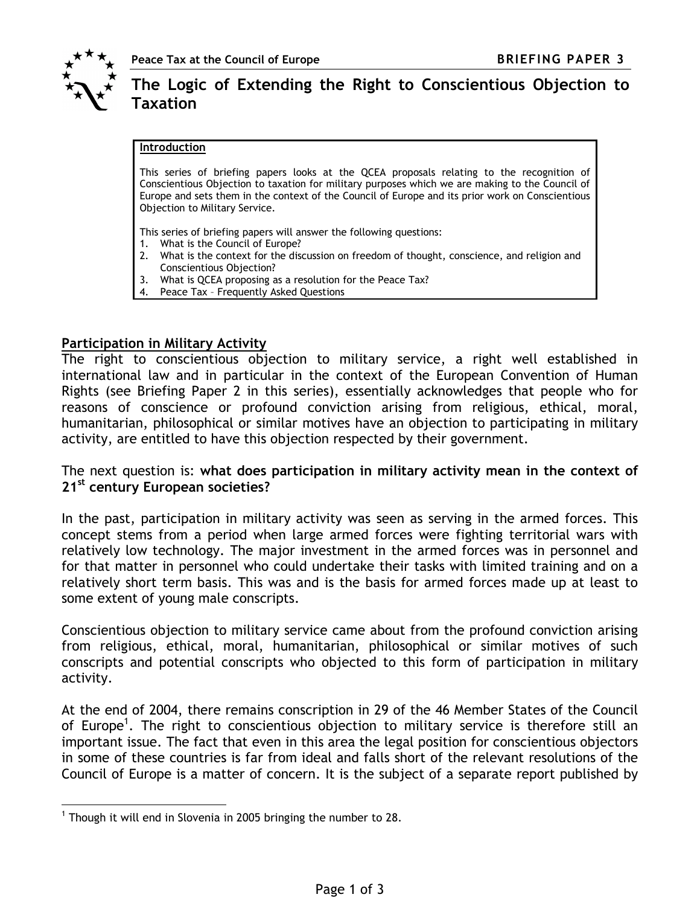

 $\overline{a}$ 

# The Logic of Extending the Right to Conscientious Objection to Taxation

#### Introduction

This series of briefing papers looks at the QCEA proposals relating to the recognition of Conscientious Objection to taxation for military purposes which we are making to the Council of Europe and sets them in the context of the Council of Europe and its prior work on Conscientious Objection to Military Service.

This series of briefing papers will answer the following questions:

- 1. What is the Council of Europe?
- 2. What is the context for the discussion on freedom of thought, conscience, and religion and Conscientious Objection?
- 3. What is QCEA proposing as a resolution for the Peace Tax?
- 4. Peace Tax Frequently Asked Questions

### Participation in Military Activity

The right to conscientious objection to military service, a right well established in international law and in particular in the context of the European Convention of Human Rights (see Briefing Paper 2 in this series), essentially acknowledges that people who for reasons of conscience or profound conviction arising from religious, ethical, moral, humanitarian, philosophical or similar motives have an objection to participating in military activity, are entitled to have this objection respected by their government.

The next question is: what does participation in military activity mean in the context of 21<sup>st</sup> century European societies?

In the past, participation in military activity was seen as serving in the armed forces. This concept stems from a period when large armed forces were fighting territorial wars with relatively low technology. The major investment in the armed forces was in personnel and for that matter in personnel who could undertake their tasks with limited training and on a relatively short term basis. This was and is the basis for armed forces made up at least to some extent of young male conscripts.

Conscientious objection to military service came about from the profound conviction arising from religious, ethical, moral, humanitarian, philosophical or similar motives of such conscripts and potential conscripts who objected to this form of participation in military activity.

At the end of 2004, there remains conscription in 29 of the 46 Member States of the Council of Europe<sup>1</sup>. The right to conscientious objection to military service is therefore still an important issue. The fact that even in this area the legal position for conscientious objectors in some of these countries is far from ideal and falls short of the relevant resolutions of the Council of Europe is a matter of concern. It is the subject of a separate report published by

<sup>&</sup>lt;sup>1</sup> Though it will end in Slovenia in 2005 bringing the number to 28.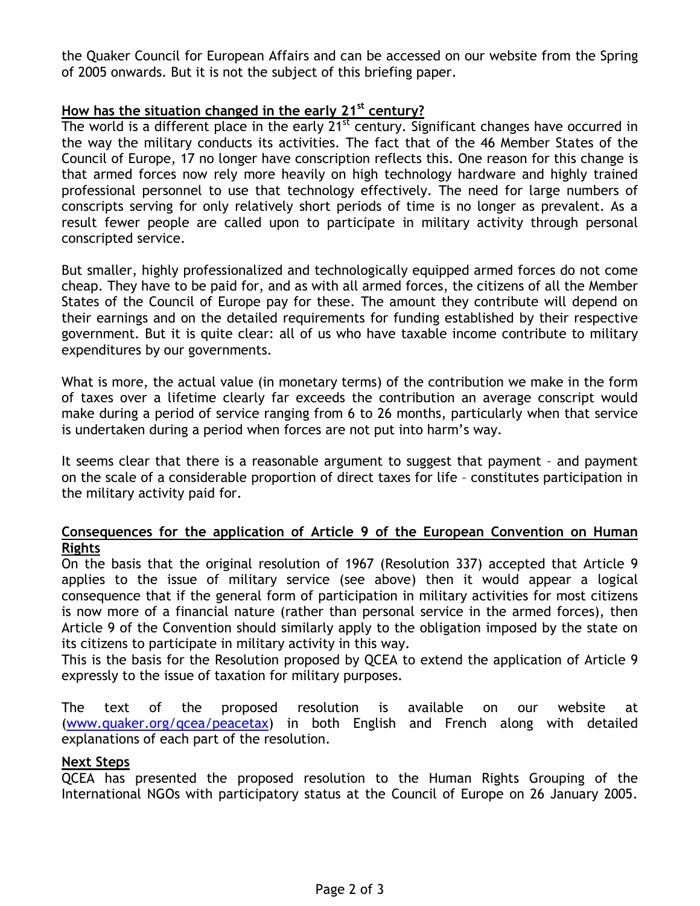the Quaker Council for European Affairs and can be accessed on our website from the Spring of 2005 onwards. But it is not the subject of this briefing paper.

# How has the situation changed in the early  $21^{st}$  century?

The world is a different place in the early  $21^{st}$  century. Significant changes have occurred in the way the military conducts its activities. The fact that of the 46 Member States of the Council of Europe, 17 no longer have conscription reflects this. One reason for this change is that armed forces now rely more heavily on high technology hardware and highly trained professional personnel to use that technology effectively. The need for large numbers of conscripts serving for only relatively short periods of time is no longer as prevalent. As a result fewer people are called upon to participate in military activity through personal conscripted service.

But smaller, highly professionalized and technologically equipped armed forces do not come cheap. They have to be paid for, and as with all armed forces, the citizens of all the Member States of the Council of Europe pay for these. The amount they contribute will depend on their earnings and on the detailed requirements for funding established by their respective government. But it is quite clear: all of us who have taxable income contribute to military expenditures by our governments.

What is more, the actual value (in monetary terms) of the contribution we make in the form of taxes over a lifetime clearly far exceeds the contribution an average conscript would make during a period of service ranging from 6 to 26 months, particularly when that service is undertaken during a period when forces are not put into harm's way.

It seems clear that there is a reasonable argument to suggest that payment – and payment on the scale of a considerable proportion of direct taxes for life – constitutes participation in the military activity paid for.

# Consequences for the application of Article 9 of the European Convention on Human Rights

On the basis that the original resolution of 1967 (Resolution 337) accepted that Article 9 applies to the issue of military service (see above) then it would appear a logical consequence that if the general form of participation in military activities for most citizens is now more of a financial nature (rather than personal service in the armed forces), then Article 9 of the Convention should similarly apply to the obligation imposed by the state on its citizens to participate in military activity in this way.

This is the basis for the Resolution proposed by QCEA to extend the application of Article 9 expressly to the issue of taxation for military purposes.

The text of the proposed resolution is available on our website at (www.quaker.org/qcea/peacetax) in both English and French along with detailed explanations of each part of the resolution.

#### Next Steps

QCEA has presented the proposed resolution to the Human Rights Grouping of the International NGOs with participatory status at the Council of Europe on 26 January 2005.